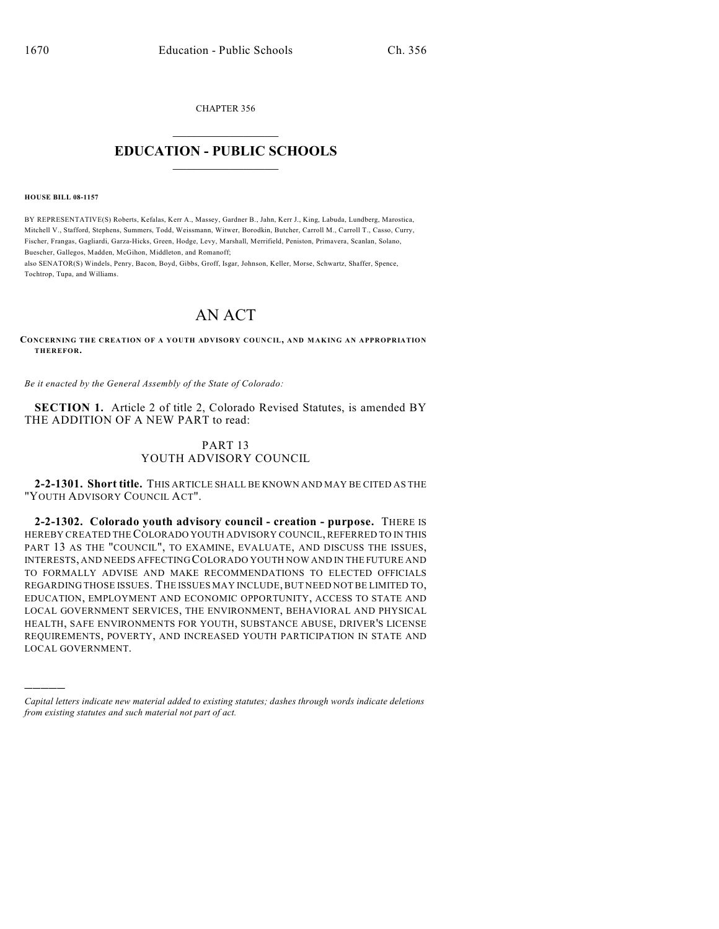CHAPTER 356  $\overline{\phantom{a}}$  . The set of the set of the set of the set of the set of the set of the set of the set of the set of the set of the set of the set of the set of the set of the set of the set of the set of the set of the set o

## **EDUCATION - PUBLIC SCHOOLS**  $\_$   $\_$   $\_$   $\_$   $\_$   $\_$   $\_$   $\_$   $\_$

**HOUSE BILL 08-1157**

)))))

BY REPRESENTATIVE(S) Roberts, Kefalas, Kerr A., Massey, Gardner B., Jahn, Kerr J., King, Labuda, Lundberg, Marostica, Mitchell V., Stafford, Stephens, Summers, Todd, Weissmann, Witwer, Borodkin, Butcher, Carroll M., Carroll T., Casso, Curry, Fischer, Frangas, Gagliardi, Garza-Hicks, Green, Hodge, Levy, Marshall, Merrifield, Peniston, Primavera, Scanlan, Solano, Buescher, Gallegos, Madden, McGihon, Middleton, and Romanoff;

also SENATOR(S) Windels, Penry, Bacon, Boyd, Gibbs, Groff, Isgar, Johnson, Keller, Morse, Schwartz, Shaffer, Spence, Tochtrop, Tupa, and Williams.

## AN ACT

**CONCERNING THE CREATION OF A YOUTH ADVISORY COUNCIL, AND M AKING AN APPROPRIATION THEREFOR.**

*Be it enacted by the General Assembly of the State of Colorado:*

**SECTION 1.** Article 2 of title 2, Colorado Revised Statutes, is amended BY THE ADDITION OF A NEW PART to read:

## PART 13 YOUTH ADVISORY COUNCIL

**2-2-1301. Short title.** THIS ARTICLE SHALL BE KNOWN AND MAY BE CITED AS THE "YOUTH ADVISORY COUNCIL ACT".

**2-2-1302. Colorado youth advisory council - creation - purpose.** THERE IS HEREBY CREATED THE COLORADO YOUTH ADVISORY COUNCIL, REFERRED TO IN THIS PART 13 AS THE "COUNCIL", TO EXAMINE, EVALUATE, AND DISCUSS THE ISSUES, INTERESTS, AND NEEDS AFFECTING COLORADO YOUTH NOW AND IN THE FUTURE AND TO FORMALLY ADVISE AND MAKE RECOMMENDATIONS TO ELECTED OFFICIALS REGARDING THOSE ISSUES. THE ISSUES MAY INCLUDE, BUT NEED NOT BE LIMITED TO, EDUCATION, EMPLOYMENT AND ECONOMIC OPPORTUNITY, ACCESS TO STATE AND LOCAL GOVERNMENT SERVICES, THE ENVIRONMENT, BEHAVIORAL AND PHYSICAL HEALTH, SAFE ENVIRONMENTS FOR YOUTH, SUBSTANCE ABUSE, DRIVER'S LICENSE REQUIREMENTS, POVERTY, AND INCREASED YOUTH PARTICIPATION IN STATE AND LOCAL GOVERNMENT.

*Capital letters indicate new material added to existing statutes; dashes through words indicate deletions from existing statutes and such material not part of act.*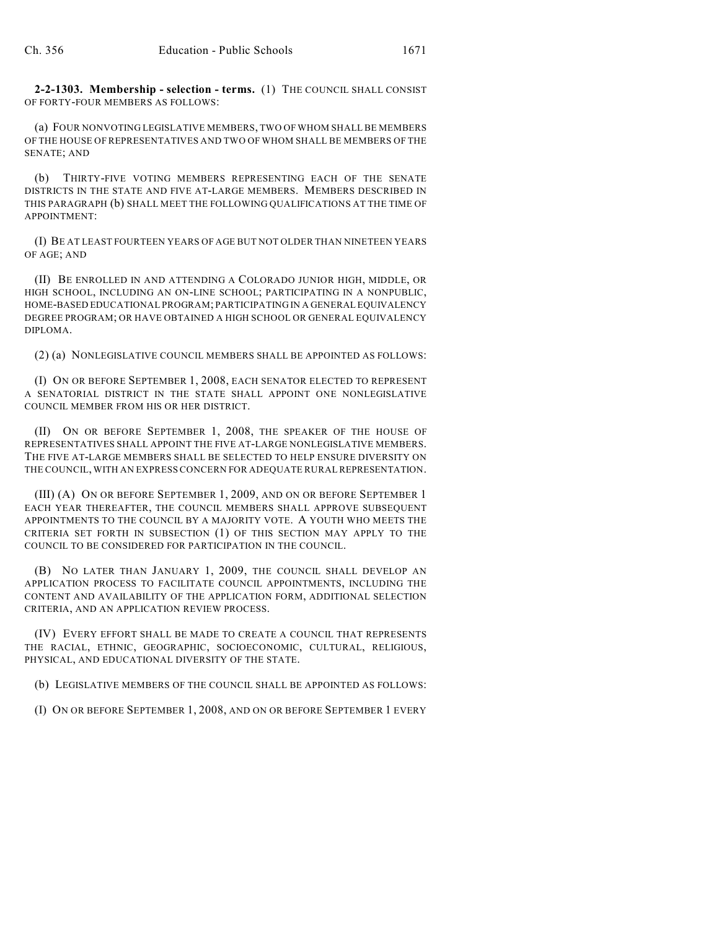**2-2-1303. Membership - selection - terms.** (1) THE COUNCIL SHALL CONSIST OF FORTY-FOUR MEMBERS AS FOLLOWS:

(a) FOUR NONVOTING LEGISLATIVE MEMBERS, TWO OF WHOM SHALL BE MEMBERS OF THE HOUSE OF REPRESENTATIVES AND TWO OF WHOM SHALL BE MEMBERS OF THE SENATE; AND

(b) THIRTY-FIVE VOTING MEMBERS REPRESENTING EACH OF THE SENATE DISTRICTS IN THE STATE AND FIVE AT-LARGE MEMBERS. MEMBERS DESCRIBED IN THIS PARAGRAPH (b) SHALL MEET THE FOLLOWING QUALIFICATIONS AT THE TIME OF APPOINTMENT:

(I) BE AT LEAST FOURTEEN YEARS OF AGE BUT NOT OLDER THAN NINETEEN YEARS OF AGE; AND

(II) BE ENROLLED IN AND ATTENDING A COLORADO JUNIOR HIGH, MIDDLE, OR HIGH SCHOOL, INCLUDING AN ON-LINE SCHOOL; PARTICIPATING IN A NONPUBLIC, HOME-BASED EDUCATIONAL PROGRAM; PARTICIPATING IN A GENERAL EQUIVALENCY DEGREE PROGRAM; OR HAVE OBTAINED A HIGH SCHOOL OR GENERAL EQUIVALENCY DIPLOMA.

(2) (a) NONLEGISLATIVE COUNCIL MEMBERS SHALL BE APPOINTED AS FOLLOWS:

(I) ON OR BEFORE SEPTEMBER 1, 2008, EACH SENATOR ELECTED TO REPRESENT A SENATORIAL DISTRICT IN THE STATE SHALL APPOINT ONE NONLEGISLATIVE COUNCIL MEMBER FROM HIS OR HER DISTRICT.

(II) ON OR BEFORE SEPTEMBER 1, 2008, THE SPEAKER OF THE HOUSE OF REPRESENTATIVES SHALL APPOINT THE FIVE AT-LARGE NONLEGISLATIVE MEMBERS. THE FIVE AT-LARGE MEMBERS SHALL BE SELECTED TO HELP ENSURE DIVERSITY ON THE COUNCIL, WITH AN EXPRESS CONCERN FOR ADEQUATE RURAL REPRESENTATION.

(III) (A) ON OR BEFORE SEPTEMBER 1, 2009, AND ON OR BEFORE SEPTEMBER 1 EACH YEAR THEREAFTER, THE COUNCIL MEMBERS SHALL APPROVE SUBSEQUENT APPOINTMENTS TO THE COUNCIL BY A MAJORITY VOTE. A YOUTH WHO MEETS THE CRITERIA SET FORTH IN SUBSECTION (1) OF THIS SECTION MAY APPLY TO THE COUNCIL TO BE CONSIDERED FOR PARTICIPATION IN THE COUNCIL.

(B) NO LATER THAN JANUARY 1, 2009, THE COUNCIL SHALL DEVELOP AN APPLICATION PROCESS TO FACILITATE COUNCIL APPOINTMENTS, INCLUDING THE CONTENT AND AVAILABILITY OF THE APPLICATION FORM, ADDITIONAL SELECTION CRITERIA, AND AN APPLICATION REVIEW PROCESS.

(IV) EVERY EFFORT SHALL BE MADE TO CREATE A COUNCIL THAT REPRESENTS THE RACIAL, ETHNIC, GEOGRAPHIC, SOCIOECONOMIC, CULTURAL, RELIGIOUS, PHYSICAL, AND EDUCATIONAL DIVERSITY OF THE STATE.

(b) LEGISLATIVE MEMBERS OF THE COUNCIL SHALL BE APPOINTED AS FOLLOWS:

(I) ON OR BEFORE SEPTEMBER 1, 2008, AND ON OR BEFORE SEPTEMBER 1 EVERY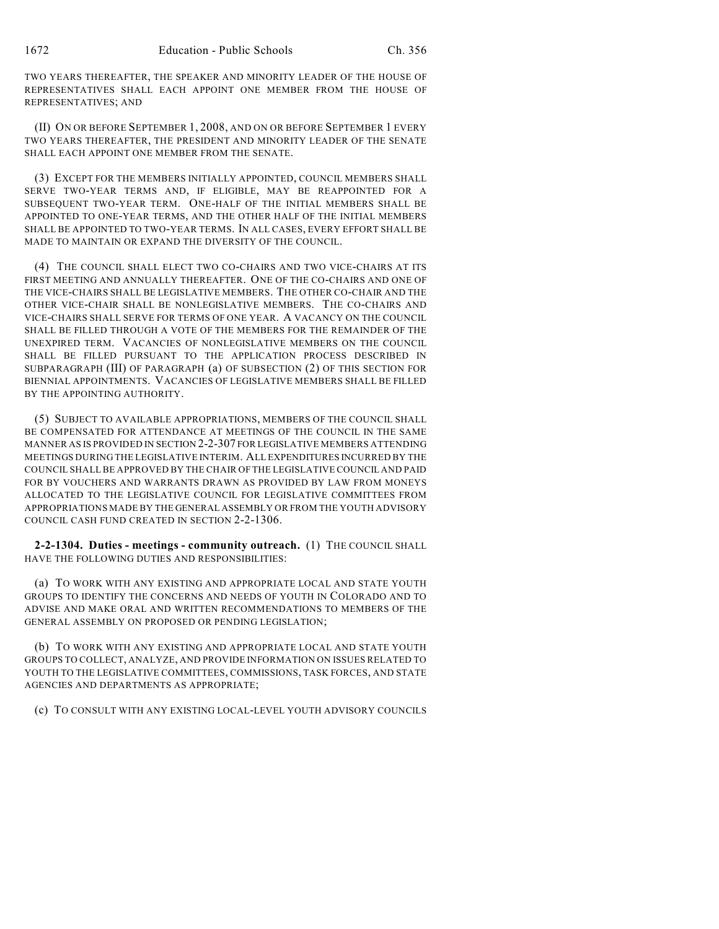TWO YEARS THEREAFTER, THE SPEAKER AND MINORITY LEADER OF THE HOUSE OF REPRESENTATIVES SHALL EACH APPOINT ONE MEMBER FROM THE HOUSE OF REPRESENTATIVES; AND

(II) ON OR BEFORE SEPTEMBER 1, 2008, AND ON OR BEFORE SEPTEMBER 1 EVERY TWO YEARS THEREAFTER, THE PRESIDENT AND MINORITY LEADER OF THE SENATE SHALL EACH APPOINT ONE MEMBER FROM THE SENATE.

(3) EXCEPT FOR THE MEMBERS INITIALLY APPOINTED, COUNCIL MEMBERS SHALL SERVE TWO-YEAR TERMS AND, IF ELIGIBLE, MAY BE REAPPOINTED FOR A SUBSEQUENT TWO-YEAR TERM. ONE-HALF OF THE INITIAL MEMBERS SHALL BE APPOINTED TO ONE-YEAR TERMS, AND THE OTHER HALF OF THE INITIAL MEMBERS SHALL BE APPOINTED TO TWO-YEAR TERMS. IN ALL CASES, EVERY EFFORT SHALL BE MADE TO MAINTAIN OR EXPAND THE DIVERSITY OF THE COUNCIL.

(4) THE COUNCIL SHALL ELECT TWO CO-CHAIRS AND TWO VICE-CHAIRS AT ITS FIRST MEETING AND ANNUALLY THEREAFTER. ONE OF THE CO-CHAIRS AND ONE OF THE VICE-CHAIRS SHALL BE LEGISLATIVE MEMBERS. THE OTHER CO-CHAIR AND THE OTHER VICE-CHAIR SHALL BE NONLEGISLATIVE MEMBERS. THE CO-CHAIRS AND VICE-CHAIRS SHALL SERVE FOR TERMS OF ONE YEAR. A VACANCY ON THE COUNCIL SHALL BE FILLED THROUGH A VOTE OF THE MEMBERS FOR THE REMAINDER OF THE UNEXPIRED TERM. VACANCIES OF NONLEGISLATIVE MEMBERS ON THE COUNCIL SHALL BE FILLED PURSUANT TO THE APPLICATION PROCESS DESCRIBED IN SUBPARAGRAPH (III) OF PARAGRAPH (a) OF SUBSECTION (2) OF THIS SECTION FOR BIENNIAL APPOINTMENTS. VACANCIES OF LEGISLATIVE MEMBERS SHALL BE FILLED BY THE APPOINTING AUTHORITY.

(5) SUBJECT TO AVAILABLE APPROPRIATIONS, MEMBERS OF THE COUNCIL SHALL BE COMPENSATED FOR ATTENDANCE AT MEETINGS OF THE COUNCIL IN THE SAME MANNER AS IS PROVIDED IN SECTION 2-2-307 FOR LEGISLATIVE MEMBERS ATTENDING MEETINGS DURING THE LEGISLATIVE INTERIM. ALL EXPENDITURES INCURRED BY THE COUNCIL SHALL BE APPROVED BY THE CHAIR OF THE LEGISLATIVE COUNCIL AND PAID FOR BY VOUCHERS AND WARRANTS DRAWN AS PROVIDED BY LAW FROM MONEYS ALLOCATED TO THE LEGISLATIVE COUNCIL FOR LEGISLATIVE COMMITTEES FROM APPROPRIATIONS MADE BY THE GENERAL ASSEMBLY OR FROM THE YOUTH ADVISORY COUNCIL CASH FUND CREATED IN SECTION 2-2-1306.

**2-2-1304. Duties - meetings - community outreach.** (1) THE COUNCIL SHALL HAVE THE FOLLOWING DUTIES AND RESPONSIBILITIES:

(a) TO WORK WITH ANY EXISTING AND APPROPRIATE LOCAL AND STATE YOUTH GROUPS TO IDENTIFY THE CONCERNS AND NEEDS OF YOUTH IN COLORADO AND TO ADVISE AND MAKE ORAL AND WRITTEN RECOMMENDATIONS TO MEMBERS OF THE GENERAL ASSEMBLY ON PROPOSED OR PENDING LEGISLATION;

(b) TO WORK WITH ANY EXISTING AND APPROPRIATE LOCAL AND STATE YOUTH GROUPS TO COLLECT, ANALYZE, AND PROVIDE INFORMATION ON ISSUES RELATED TO YOUTH TO THE LEGISLATIVE COMMITTEES, COMMISSIONS, TASK FORCES, AND STATE AGENCIES AND DEPARTMENTS AS APPROPRIATE;

(c) TO CONSULT WITH ANY EXISTING LOCAL-LEVEL YOUTH ADVISORY COUNCILS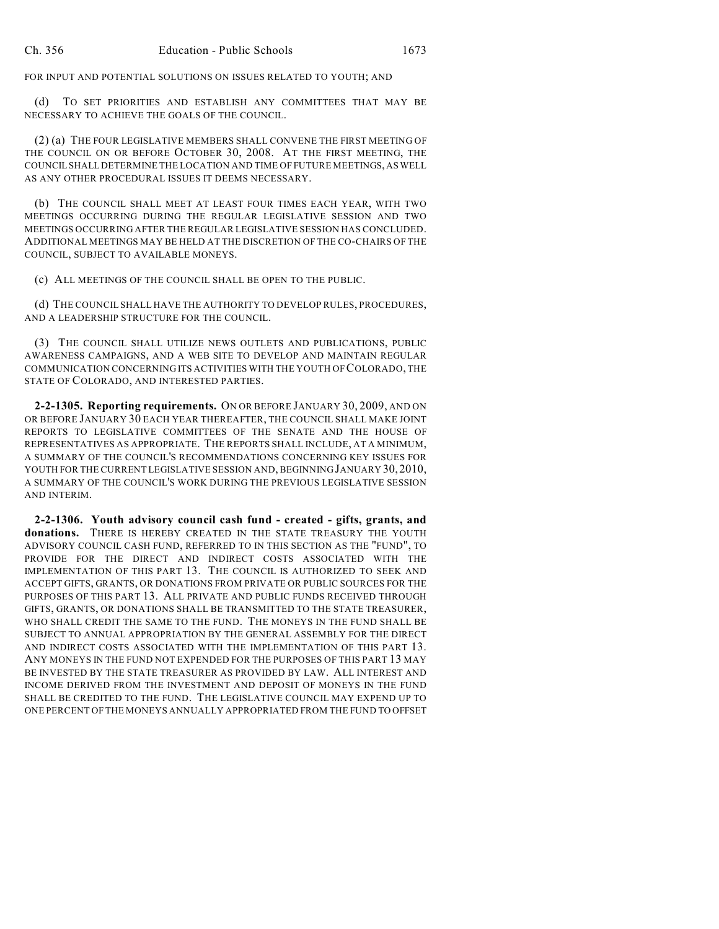FOR INPUT AND POTENTIAL SOLUTIONS ON ISSUES RELATED TO YOUTH; AND

(d) TO SET PRIORITIES AND ESTABLISH ANY COMMITTEES THAT MAY BE NECESSARY TO ACHIEVE THE GOALS OF THE COUNCIL.

(2) (a) THE FOUR LEGISLATIVE MEMBERS SHALL CONVENE THE FIRST MEETING OF THE COUNCIL ON OR BEFORE OCTOBER 30, 2008. AT THE FIRST MEETING, THE COUNCIL SHALL DETERMINE THE LOCATION AND TIME OF FUTURE MEETINGS, AS WELL AS ANY OTHER PROCEDURAL ISSUES IT DEEMS NECESSARY.

(b) THE COUNCIL SHALL MEET AT LEAST FOUR TIMES EACH YEAR, WITH TWO MEETINGS OCCURRING DURING THE REGULAR LEGISLATIVE SESSION AND TWO MEETINGS OCCURRING AFTER THE REGULAR LEGISLATIVE SESSION HAS CONCLUDED. ADDITIONAL MEETINGS MAY BE HELD AT THE DISCRETION OF THE CO-CHAIRS OF THE COUNCIL, SUBJECT TO AVAILABLE MONEYS.

(c) ALL MEETINGS OF THE COUNCIL SHALL BE OPEN TO THE PUBLIC.

(d) THE COUNCIL SHALL HAVE THE AUTHORITY TO DEVELOP RULES, PROCEDURES, AND A LEADERSHIP STRUCTURE FOR THE COUNCIL.

(3) THE COUNCIL SHALL UTILIZE NEWS OUTLETS AND PUBLICATIONS, PUBLIC AWARENESS CAMPAIGNS, AND A WEB SITE TO DEVELOP AND MAINTAIN REGULAR COMMUNICATION CONCERNING ITS ACTIVITIES WITH THE YOUTH OF COLORADO, THE STATE OF COLORADO, AND INTERESTED PARTIES.

**2-2-1305. Reporting requirements.** ON OR BEFORE JANUARY 30, 2009, AND ON OR BEFORE JANUARY 30 EACH YEAR THEREAFTER, THE COUNCIL SHALL MAKE JOINT REPORTS TO LEGISLATIVE COMMITTEES OF THE SENATE AND THE HOUSE OF REPRESENTATIVES AS APPROPRIATE. THE REPORTS SHALL INCLUDE, AT A MINIMUM, A SUMMARY OF THE COUNCIL'S RECOMMENDATIONS CONCERNING KEY ISSUES FOR YOUTH FOR THE CURRENT LEGISLATIVE SESSION AND, BEGINNING JANUARY 30, 2010, A SUMMARY OF THE COUNCIL'S WORK DURING THE PREVIOUS LEGISLATIVE SESSION AND INTERIM.

**2-2-1306. Youth advisory council cash fund - created - gifts, grants, and donations.** THERE IS HEREBY CREATED IN THE STATE TREASURY THE YOUTH ADVISORY COUNCIL CASH FUND, REFERRED TO IN THIS SECTION AS THE "FUND", TO PROVIDE FOR THE DIRECT AND INDIRECT COSTS ASSOCIATED WITH THE IMPLEMENTATION OF THIS PART 13. THE COUNCIL IS AUTHORIZED TO SEEK AND ACCEPT GIFTS, GRANTS, OR DONATIONS FROM PRIVATE OR PUBLIC SOURCES FOR THE PURPOSES OF THIS PART 13. ALL PRIVATE AND PUBLIC FUNDS RECEIVED THROUGH GIFTS, GRANTS, OR DONATIONS SHALL BE TRANSMITTED TO THE STATE TREASURER, WHO SHALL CREDIT THE SAME TO THE FUND. THE MONEYS IN THE FUND SHALL BE SUBJECT TO ANNUAL APPROPRIATION BY THE GENERAL ASSEMBLY FOR THE DIRECT AND INDIRECT COSTS ASSOCIATED WITH THE IMPLEMENTATION OF THIS PART 13. ANY MONEYS IN THE FUND NOT EXPENDED FOR THE PURPOSES OF THIS PART 13 MAY BE INVESTED BY THE STATE TREASURER AS PROVIDED BY LAW. ALL INTEREST AND INCOME DERIVED FROM THE INVESTMENT AND DEPOSIT OF MONEYS IN THE FUND SHALL BE CREDITED TO THE FUND. THE LEGISLATIVE COUNCIL MAY EXPEND UP TO ONE PERCENT OF THE MONEYS ANNUALLY APPROPRIATED FROM THE FUND TO OFFSET